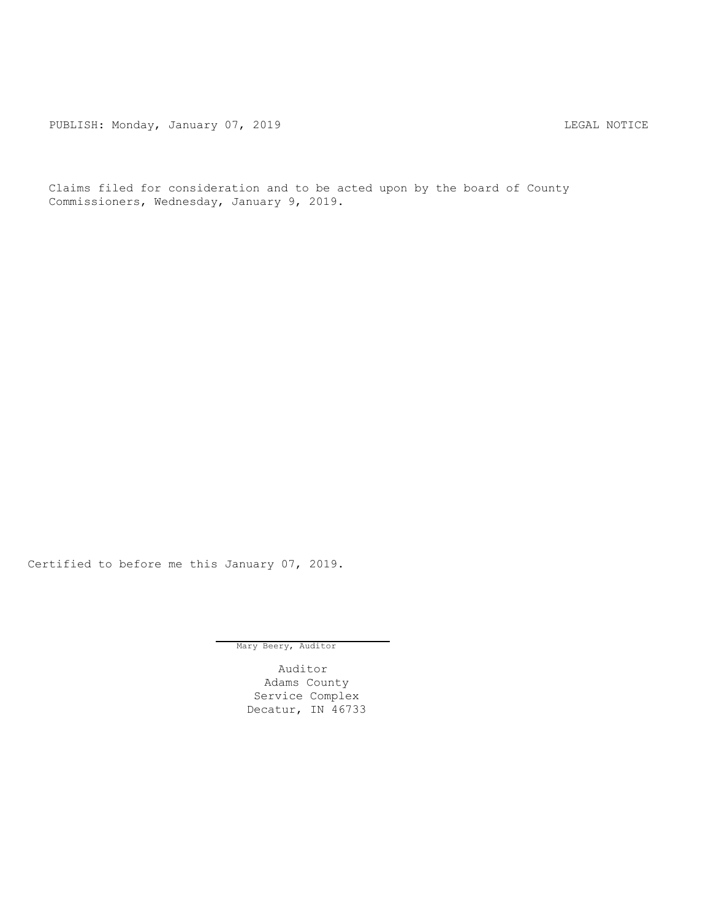PUBLISH: Monday, January 07, 2019 CHA CHANGE CONTROL CONTROL CONTROL CONTROL CONTROL CONTROL CONTROL CONTROL CONTROL CONTROL CONTROL CONTROL CONTROL CONTROL CONTROL CONTROL CONTROL CONTROL CONTROL CONTROL CONTROL CONTROL C

Claims filed for consideration and to be acted upon by the board of County Commissioners, Wednesday, January 9, 2019.

Certified to before me this January 07, 2019.

Mary Beery, Auditor

Auditor Adams County Service Complex Decatur, IN 46733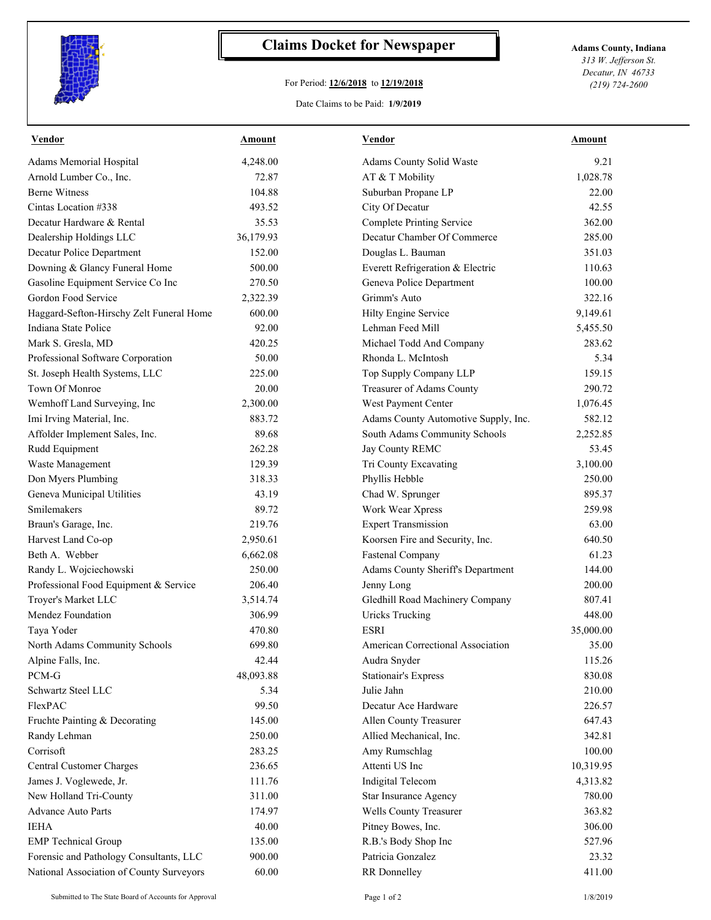

## **Claims Docket for Newspaper Adams County, Indiana**

## For Period: **12/6/2018** to **12/19/2018**

*313 W. Jefferson St. Decatur, IN 46733 (219) 724-2600*

## Date Claims to be Paid: **1/9/2019**

| <b>Vendor</b>                            | <b>Amount</b> | <b>Vendor</b>                        | Amount    |
|------------------------------------------|---------------|--------------------------------------|-----------|
| Adams Memorial Hospital                  | 4,248.00      | Adams County Solid Waste             | 9.21      |
| Arnold Lumber Co., Inc.                  | 72.87         | AT & T Mobility                      | 1,028.78  |
| <b>Berne Witness</b>                     | 104.88        | Suburban Propane LP                  | 22.00     |
| Cintas Location #338                     | 493.52        | City Of Decatur                      | 42.55     |
| Decatur Hardware & Rental                | 35.53         | <b>Complete Printing Service</b>     | 362.00    |
| Dealership Holdings LLC                  | 36,179.93     | Decatur Chamber Of Commerce          | 285.00    |
| Decatur Police Department                | 152.00        | Douglas L. Bauman                    | 351.03    |
| Downing & Glancy Funeral Home            | 500.00        | Everett Refrigeration & Electric     | 110.63    |
| Gasoline Equipment Service Co Inc        | 270.50        | Geneva Police Department             | 100.00    |
| Gordon Food Service                      | 2,322.39      | Grimm's Auto                         | 322.16    |
| Haggard-Sefton-Hirschy Zelt Funeral Home | 600.00        | Hilty Engine Service                 | 9,149.61  |
| Indiana State Police                     | 92.00         | Lehman Feed Mill                     | 5,455.50  |
| Mark S. Gresla, MD                       | 420.25        | Michael Todd And Company             | 283.62    |
| Professional Software Corporation        | 50.00         | Rhonda L. McIntosh                   | 5.34      |
| St. Joseph Health Systems, LLC           | 225.00        | Top Supply Company LLP               | 159.15    |
| Town Of Monroe                           | 20.00         | Treasurer of Adams County            | 290.72    |
| Wemhoff Land Surveying, Inc              | 2,300.00      | West Payment Center                  | 1,076.45  |
| Imi Irving Material, Inc.                | 883.72        | Adams County Automotive Supply, Inc. | 582.12    |
| Affolder Implement Sales, Inc.           | 89.68         | South Adams Community Schools        | 2,252.85  |
| Rudd Equipment                           | 262.28        | Jay County REMC                      | 53.45     |
| Waste Management                         | 129.39        | Tri County Excavating                | 3,100.00  |
| Don Myers Plumbing                       | 318.33        | Phyllis Hebble                       | 250.00    |
| Geneva Municipal Utilities               | 43.19         | Chad W. Sprunger                     | 895.37    |
| Smilemakers                              | 89.72         | Work Wear Xpress                     | 259.98    |
| Braun's Garage, Inc.                     | 219.76        | <b>Expert Transmission</b>           | 63.00     |
| Harvest Land Co-op                       | 2,950.61      | Koorsen Fire and Security, Inc.      | 640.50    |
| Beth A. Webber                           | 6,662.08      | <b>Fastenal Company</b>              | 61.23     |
| Randy L. Wojciechowski                   | 250.00        | Adams County Sheriff's Department    | 144.00    |
| Professional Food Equipment & Service    | 206.40        | Jenny Long                           | 200.00    |
| Troyer's Market LLC                      | 3,514.74      | Gledhill Road Machinery Company      | 807.41    |
| Mendez Foundation                        | 306.99        | <b>Uricks Trucking</b>               | 448.00    |
| Taya Yoder                               | 470.80        | <b>ESRI</b>                          | 35,000.00 |
| North Adams Community Schools            | 699.80        | American Correctional Association    | 35.00     |
| Alpine Falls, Inc.                       | 42.44         | Audra Snyder                         | 115.26    |
| PCM-G                                    | 48,093.88     | <b>Stationair's Express</b>          | 830.08    |
| Schwartz Steel LLC                       | 5.34          | Julie Jahn                           | 210.00    |
| FlexPAC                                  | 99.50         | Decatur Ace Hardware                 | 226.57    |
| Fruchte Painting & Decorating            | 145.00        | Allen County Treasurer               | 647.43    |
| Randy Lehman                             | 250.00        | Allied Mechanical, Inc.              | 342.81    |
| Corrisoft                                | 283.25        | Amy Rumschlag                        | 100.00    |
| Central Customer Charges                 | 236.65        | Attenti US Inc                       | 10,319.95 |
| James J. Voglewede, Jr.                  | 111.76        | Indigital Telecom                    | 4,313.82  |
| New Holland Tri-County                   | 311.00        | <b>Star Insurance Agency</b>         | 780.00    |
|                                          |               |                                      |           |
| <b>Advance Auto Parts</b>                | 174.97        | Wells County Treasurer               | 363.82    |
| <b>IEHA</b>                              | 40.00         | Pitney Bowes, Inc.                   | 306.00    |
| <b>EMP</b> Technical Group               | 135.00        | R.B.'s Body Shop Inc                 | 527.96    |
| Forensic and Pathology Consultants, LLC  | 900.00        | Patricia Gonzalez                    | 23.32     |
| National Association of County Surveyors | 60.00         | RR Donnelley                         | 411.00    |